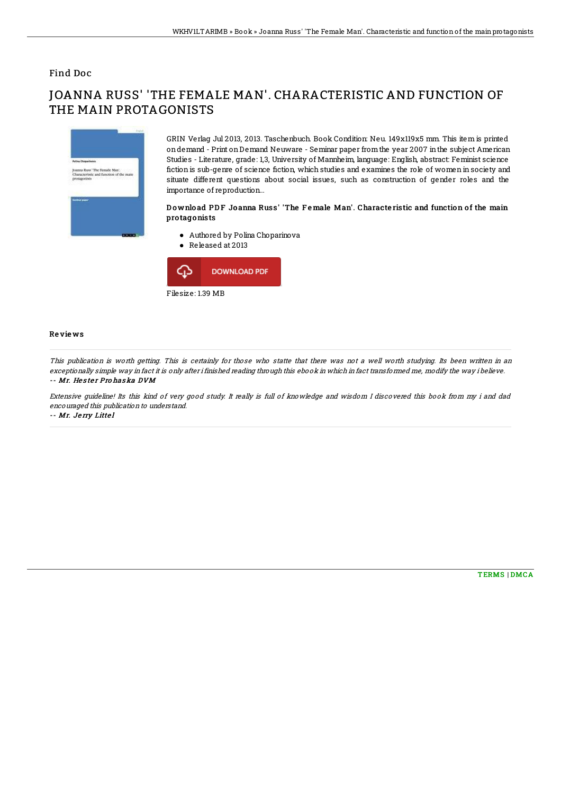### Find Doc

# JOANNA RUSS' 'THE FEMALE MAN'. CHARACTERISTIC AND FUNCTION OF THE MAIN PROTAGONISTS



GRIN Verlag Jul 2013, 2013. Taschenbuch. Book Condition: Neu. 149x119x5 mm. This item is printed ondemand - Print onDemand Neuware - Seminar paper fromthe year 2007 inthe subject American Studies - Literature, grade: 1,3, University of Mannheim, language: English, abstract: Feminist science fiction is sub-genre of science fiction, which studies and examines the role of women in society and situate different questions about social issues, such as construction of gender roles and the importance of reproduction...

#### Download PDF Joanna Russ' 'The Female Man'. Characteristic and function of the main pro tagonists

- Authored by Polina Choparinova
- Released at 2013



#### Re vie ws

This publication is worth getting. This is certainly for those who statte that there was not <sup>a</sup> well worth studying. Its been written in an exceptionally simple way in fact it is only after i finished reading through this ebook in which in fact transformed me, modify the way i believe. -- Mr. Hester Pro haska DVM

Extensive guideline! Its this kind of very good study. It really is full of knowledge and wisdom I discovered this book from my i and dad encouraged this publication to understand.

-- Mr. Je rry Litte l